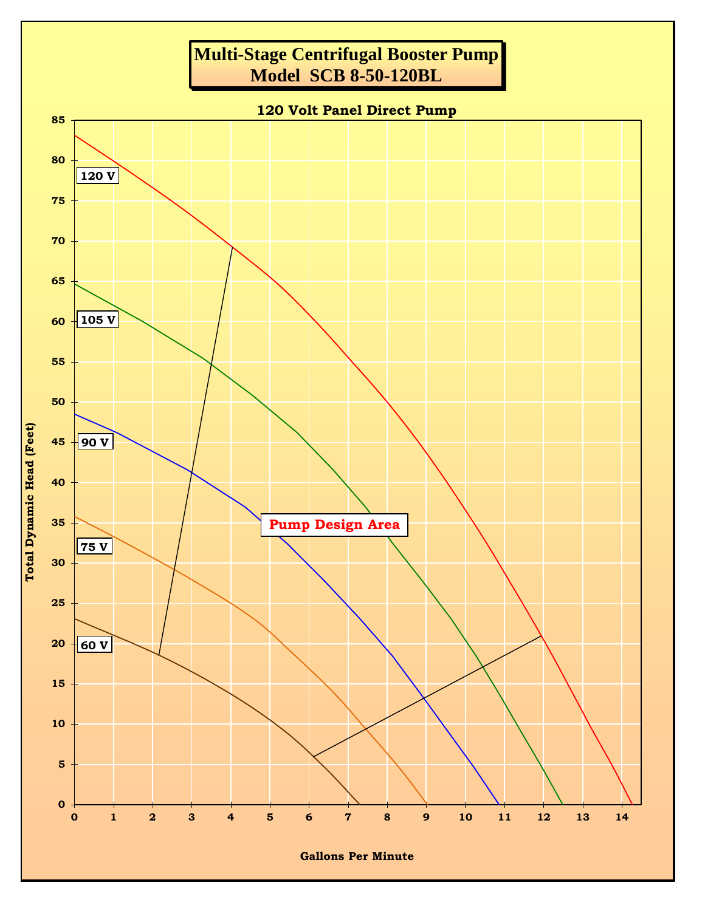